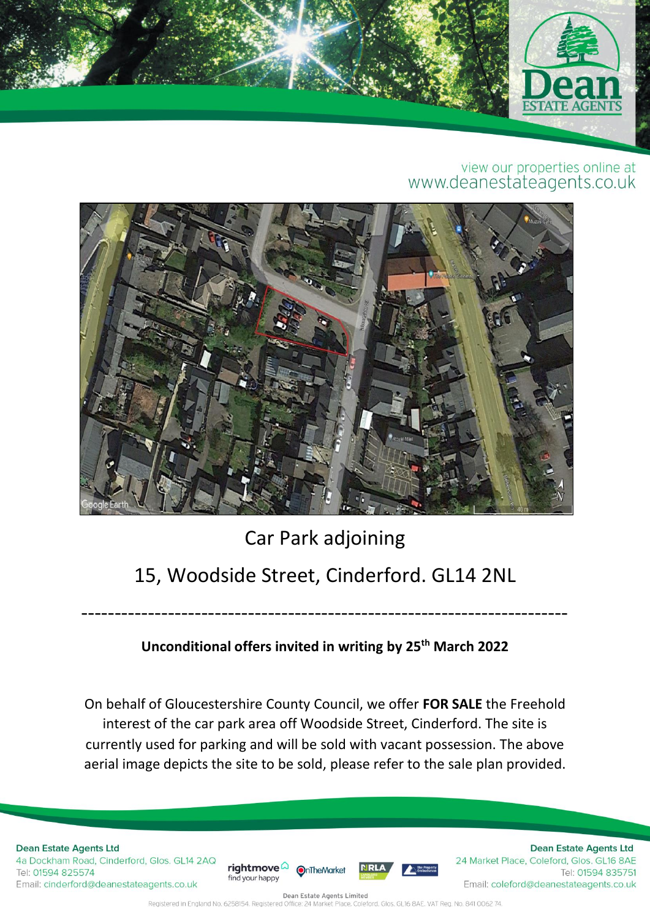

## view our properties online at<br>www.deanestateagents.co.uk



## Car Park adjoining 15, Woodside Street, Cinderford. GL14 2NL

## **Unconditional offers invited in writing by 25th March 2022**

-------------------------------------------------------------------------

On behalf of Gloucestershire County Council, we offer **FOR SALE** the Freehold interest of the car park area off Woodside Street, Cinderford. The site is currently used for parking and will be sold with vacant possession. The above aerial image depicts the site to be sold, please refer to the sale plan provided.

**Dean Estate Agents Ltd** 4a Dockham Road, Cinderford, Glos. GL14 2AQ Tel: 01594 825574 Email: cinderford@deanestateagents.co.uk





**Dean Estate Agents Ltd** 24 Market Place, Coleford, Glos. GL16 8AE Tel: 01594 835751 Email: coleford@deanestateagents.co.uk

Dean Estate Agents Limited Registered in England No. 6258154. Registered Office: 24 Market Place, Coleford, Glos. GL16 8AE. VAT Reg. No. 841 0062 74.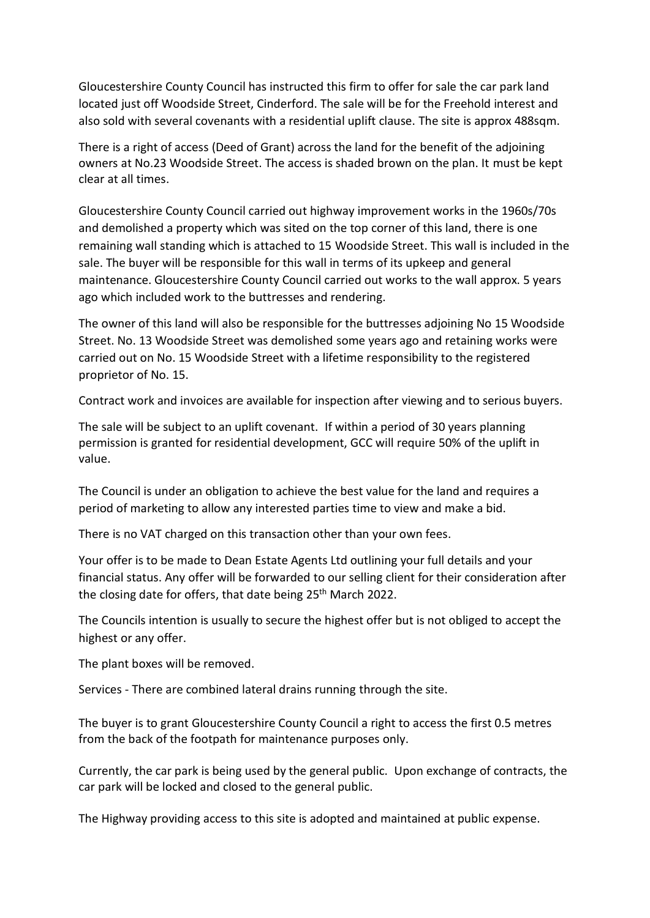Gloucestershire County Council has instructed this firm to offer for sale the car park land located just off Woodside Street, Cinderford. The sale will be for the Freehold interest and also sold with several covenants with a residential uplift clause. The site is approx 488sqm.

There is a right of access (Deed of Grant) across the land for the benefit of the adjoining owners at No.23 Woodside Street. The access is shaded brown on the plan. It must be kept clear at all times.

Gloucestershire County Council carried out highway improvement works in the 1960s/70s and demolished a property which was sited on the top corner of this land, there is one remaining wall standing which is attached to 15 Woodside Street. This wall is included in the sale. The buyer will be responsible for this wall in terms of its upkeep and general maintenance. Gloucestershire County Council carried out works to the wall approx. 5 years ago which included work to the buttresses and rendering.

The owner of this land will also be responsible for the buttresses adjoining No 15 Woodside Street. No. 13 Woodside Street was demolished some years ago and retaining works were carried out on No. 15 Woodside Street with a lifetime responsibility to the registered proprietor of No. 15.

Contract work and invoices are available for inspection after viewing and to serious buyers.

The sale will be subject to an uplift covenant. If within a period of 30 years planning permission is granted for residential development, GCC will require 50% of the uplift in value.

The Council is under an obligation to achieve the best value for the land and requires a period of marketing to allow any interested parties time to view and make a bid.

There is no VAT charged on this transaction other than your own fees.

Your offer is to be made to Dean Estate Agents Ltd outlining your full details and your financial status. Any offer will be forwarded to our selling client for their consideration after the closing date for offers, that date being 25<sup>th</sup> March 2022.

The Councils intention is usually to secure the highest offer but is not obliged to accept the highest or any offer.

The plant boxes will be removed.

Services - There are combined lateral drains running through the site.

The buyer is to grant Gloucestershire County Council a right to access the first 0.5 metres from the back of the footpath for maintenance purposes only.

Currently, the car park is being used by the general public. Upon exchange of contracts, the car park will be locked and closed to the general public.

The Highway providing access to this site is adopted and maintained at public expense.